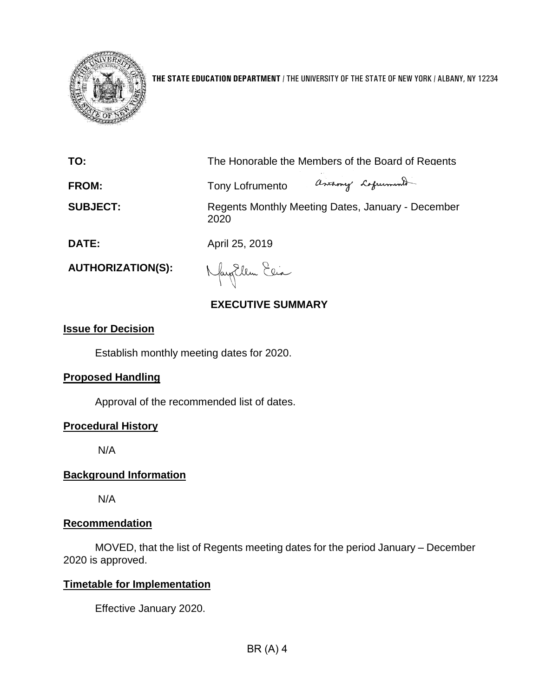

**THE STATE EDUCATION DEPARTMENT** / THE UNIVERSITY OF THE STATE OF NEW YORK / ALBANY, NY 12234

**TO:** The Honorable the Members of the Board of Regents

ascamy Lafurment **FROM:** Tony Lofrumento

**SUBJECT:** Regents Monthly Meeting Dates, January - December 2020

**DATE:** April 25, 2019

**AUTHORIZATION(S):**

Nagollem Elia

# **EXECUTIVE SUMMARY**

#### **Issue for Decision**

Establish monthly meeting dates for 2020.

## **Proposed Handling**

Approval of the recommended list of dates.

## **Procedural History**

N/A

## **Background Information**

N/A

## **Recommendation**

MOVED, that the list of Regents meeting dates for the period January – December 2020 is approved.

## **Timetable for Implementation**

Effective January 2020.